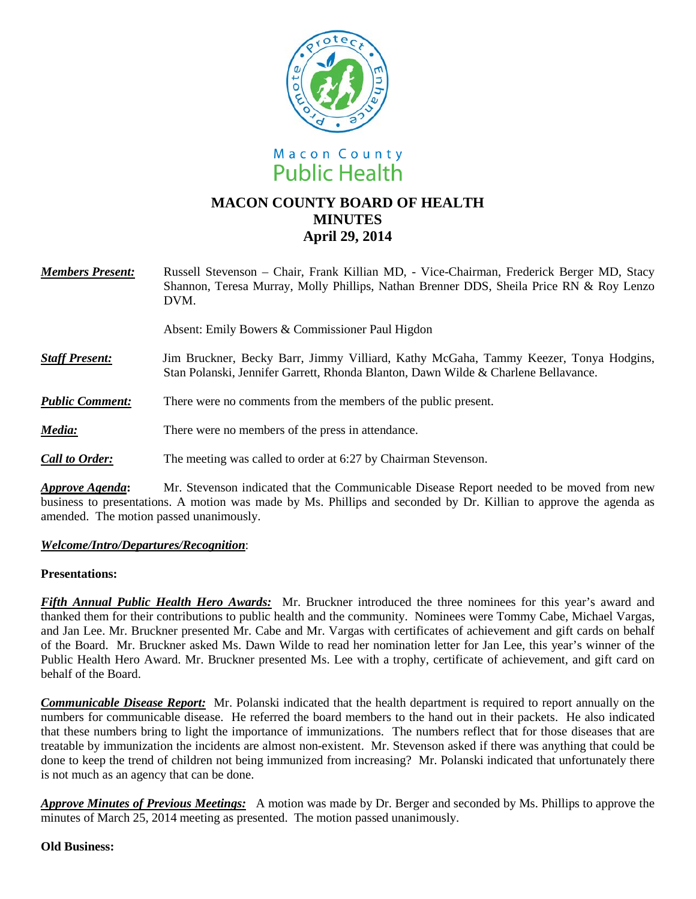



## **MACON COUNTY BOARD OF HEALTH MINUTES April 29, 2014**

| <b>Members Present:</b> | Russell Stevenson - Chair, Frank Killian MD, - Vice-Chairman, Frederick Berger MD, Stacy<br>Shannon, Teresa Murray, Molly Phillips, Nathan Brenner DDS, Sheila Price RN & Roy Lenzo<br>DVM. |
|-------------------------|---------------------------------------------------------------------------------------------------------------------------------------------------------------------------------------------|
|                         | Absent: Emily Bowers & Commissioner Paul Higdon                                                                                                                                             |
| <b>Staff Present:</b>   | Jim Bruckner, Becky Barr, Jimmy Villiard, Kathy McGaha, Tammy Keezer, Tonya Hodgins,<br>Stan Polanski, Jennifer Garrett, Rhonda Blanton, Dawn Wilde & Charlene Bellavance.                  |
| <b>Public Comment:</b>  | There were no comments from the members of the public present.                                                                                                                              |

# *Media:* There were no members of the press in attendance.

*Call to Order:* The meeting was called to order at 6:27 by Chairman Stevenson.

*Approve Agenda***:** Mr. Stevenson indicated that the Communicable Disease Report needed to be moved from new business to presentations. A motion was made by Ms. Phillips and seconded by Dr. Killian to approve the agenda as amended. The motion passed unanimously.

### *Welcome/Intro/Departures/Recognition*:

#### **Presentations:**

*Fifth Annual Public Health Hero Awards:*Mr. Bruckner introduced the three nominees for this year's award and thanked them for their contributions to public health and the community. Nominees were Tommy Cabe, Michael Vargas, and Jan Lee. Mr. Bruckner presented Mr. Cabe and Mr. Vargas with certificates of achievement and gift cards on behalf of the Board. Mr. Bruckner asked Ms. Dawn Wilde to read her nomination letter for Jan Lee, this year's winner of the Public Health Hero Award. Mr. Bruckner presented Ms. Lee with a trophy, certificate of achievement, and gift card on behalf of the Board.

*Communicable Disease Report:*Mr. Polanski indicated that the health department is required to report annually on the numbers for communicable disease. He referred the board members to the hand out in their packets. He also indicated that these numbers bring to light the importance of immunizations. The numbers reflect that for those diseases that are treatable by immunization the incidents are almost non-existent. Mr. Stevenson asked if there was anything that could be done to keep the trend of children not being immunized from increasing? Mr. Polanski indicated that unfortunately there is not much as an agency that can be done.

*Approve Minutes of Previous Meetings:* A motion was made by Dr. Berger and seconded by Ms. Phillips to approve the minutes of March 25, 2014 meeting as presented. The motion passed unanimously.

#### **Old Business:**